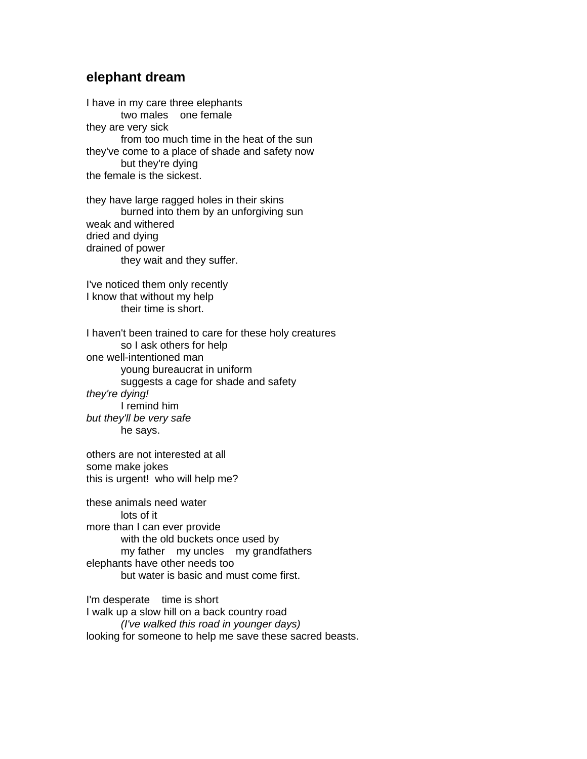## **elephant dream**

I have in my care three elephants two males one female they are very sick from too much time in the heat of the sun they've come to a place of shade and safety now but they're dying the female is the sickest.

they have large ragged holes in their skins burned into them by an unforgiving sun weak and withered dried and dying drained of power they wait and they suffer.

I've noticed them only recently I know that without my help their time is short.

I haven't been trained to care for these holy creatures so I ask others for help one well-intentioned man young bureaucrat in uniform suggests a cage for shade and safety they're dying! I remind him but they'll be very safe he says.

others are not interested at all some make jokes this is urgent! who will help me?

these animals need water lots of it more than I can ever provide with the old buckets once used by my father my uncles my grandfathers elephants have other needs too but water is basic and must come first.

I'm desperate time is short I walk up a slow hill on a back country road (I've walked this road in younger days) looking for someone to help me save these sacred beasts.